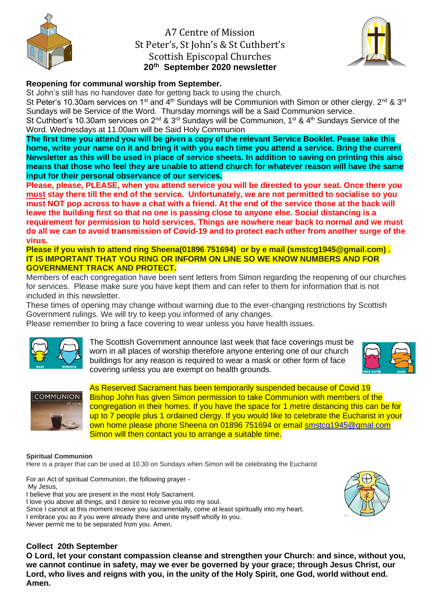

# A7 Centre of Mission St Peter's, St John's & St Cuthbert's Scottish Episcopal Churches **20th September 2020 newsletter**



## **Reopening for communal worship from September.**

St John's still has no handover date for getting back to using the church.

St Peter's 10.30am services on 1<sup>st</sup> and  $\tilde{4}^{th}$  Sundays will be Communion with Simon or other clergy. 2<sup>nd</sup> & 3<sup>rd</sup> Sundays will be Service of the Word. Thursday mornings will be a Said Communion service.

St Cuthbert's 10.30am services on 2<sup>nd</sup> & 3<sup>rd</sup> Sundays will be Communion, 1<sup>st</sup> & 4<sup>th</sup> Sundays Service of the Word. Wednesdays at 11.00am will be Said Holy Communion

**The first time you attend you will be given a copy of the relevant Service Booklet. Pease take this home, write your name on it and bring it with you each time you attend a service. Bring the current Newsletter as this will be used in place of service sheets. In addition to saving on printing this also means that those who feel they are unable to attend church for whatever reason will have the same input for their personal observance of our services.**

**Please, please, PLEASE, when you attend service you will be directed to your seat. Once there you must stay there till the end of the service. Unfortunately, we are not permitted to socialise so you must NOT pop across to have a chat with a friend. At the end of the service those at the back will leave the building first so that no one is passing close to anyone else. Social distancing is a requirement for permission to hold services. Things are nowhere near back to normal and we must do all we can to avoid transmission of Covid-19 and to protect each other from another surge of the virus.**

**Please if you wish to attend ring Sheena(01896 751694) or by e mail (smstcg1945@gmail.com) . IT IS IMPORTANT THAT YOU RING OR INFORM ON LINE SO WE KNOW NUMBERS AND FOR GOVERNMENT TRACK AND PROTECT.**

Members of each congregation have been sent letters from Simon regarding the reopening of our churches for services. Please make sure you have kept them and can refer to them for information that is not included in this newsletter.

These times of opening may change without warning due to the ever-changing restrictions by Scottish Government rulings. We will try to keep you informed of any changes.

Please remember to bring a face covering to wear unless you have health issues.



The Scottish Government announce last week that face coverings must be worn in all places of worship therefore anyone entering one of our church buildings for any reason is required to wear a mask or other form of face covering unless you are exempt on health grounds.





As Reserved Sacrament has been temporarily suspended because of Covid 19 Bishop John has given Simon permission to take Communion with members of the congregation in their homes. If you have the space for 1 metre distancing this can be for up to 7 people plus 1 ordained clergy. If you would like to celebrate the Eucharist in your own home please phone Sheena on 01896 751694 or email [smstcg1945@gmal.com](mailto:smstcg1945@gmal.com)  Simon will then contact you to arrange a suitable time.

#### **Spiritual Communion**

Here is a prayer that can be used at 10.30 on Sundays when Simon will be celebrating the Eucharist

For an Act of spiritual Communion, the following prayer - My Jesus, I believe that you are present in the most Holy Sacrament.

I love you above all things, and I desire to receive you into my soul.

Since I cannot at this moment receive you sacramentally, come at least spiritually into my heart.

I embrace you as if you were already there and unite myself wholly to you.

Never permit me to be separated from you. Amen.

## **Collect 20th September**

**O Lord, let your constant compassion cleanse and strengthen your Church: and since, without you, we cannot continue in safety, may we ever be governed by your grace; through Jesus Christ, our Lord, who lives and reigns with you, in the unity of the Holy Spirit, one God, world without end. Amen.**

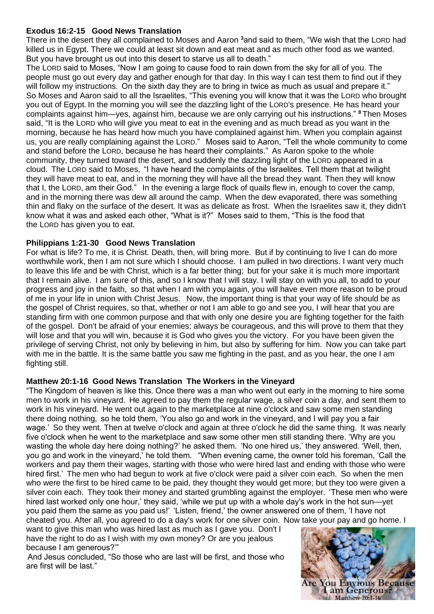## **Exodus 16:2-15 Good News Translation**

There in the desert they all complained to Moses and Aaron **<sup>3</sup>**and said to them, "We wish that the LORD had killed us in Egypt. There we could at least sit down and eat meat and as much other food as we wanted. But you have brought us out into this desert to starve us all to death."

The LORD said to Moses, "Now I am going to cause food to rain down from the sky for all of you. The people must go out every day and gather enough for that day. In this way I can test them to find out if they will follow my instructions. On the sixth day they are to bring in twice as much as usual and prepare it." So Moses and Aaron said to all the Israelites, "This evening you will know that it was the LORD who brought you out of Egypt. In the morning you will see the dazzling light of the LORD's presence. He has heard your complaints against him—yes, against him, because we are only carrying out his instructions." **<sup>8</sup>** Then Moses said, "It is the LORD who will give you meat to eat in the evening and as much bread as you want in the morning, because he has heard how much you have complained against him. When you complain against us, you are really complaining against the LORD." Moses said to Aaron, "Tell the whole community to come and stand before the LORD, because he has heard their complaints." As Aaron spoke to the whole community, they turned toward the desert, and suddenly the dazzling light of the LORD appeared in a cloud. The LORD said to Moses, "I have heard the complaints of the Israelites. Tell them that at twilight they will have meat to eat, and in the morning they will have all the bread they want. Then they will know that I, the LORD, am their God." In the evening a large flock of quails flew in, enough to cover the camp, and in the morning there was dew all around the camp. When the dew evaporated, there was something thin and flaky on the surface of the desert. It was as delicate as frost. When the Israelites saw it, they didn't know what it was and asked each other, "What is it?" Moses said to them, "This is the food that the LORD has given you to eat.

## **Philippians 1:21-30 Good News Translation**

For what is life? To me, it is Christ. Death, then, will bring more. But if by continuing to live I can do more worthwhile work, then I am not sure which I should choose. I am pulled in two directions. I want very much to leave this life and be with Christ, which is a far better thing; but for your sake it is much more important that I remain alive. I am sure of this, and so I know that I will stay. I will stay on with you all, to add to your progress and joy in the faith, so that when I am with you again, you will have even more reason to be proud of me in your life in union with Christ Jesus. Now, the important thing is that your way of life should be as the gospel of Christ requires, so that, whether or not I am able to go and see you, I will hear that you are standing firm with one common purpose and that with only one desire you are fighting together for the faith of the gospel. Don't be afraid of your enemies; always be courageous, and this will prove to them that they will lose and that you will win, because it is God who gives you the victory. For you have been given the privilege of serving Christ, not only by believing in him, but also by suffering for him. Now you can take part with me in the battle. It is the same battle you saw me fighting in the past, and as you hear, the one I am fighting still.

### **Matthew 20:1-16 Good News Translation The Workers in the Vineyard**

"The Kingdom of heaven is like this. Once there was a man who went out early in the morning to hire some men to work in his vineyard. He agreed to pay them the regular wage, a silver coin a day, and sent them to work in his vineyard. He went out again to the marketplace at nine o'clock and saw some men standing there doing nothing, so he told them, 'You also go and work in the vineyard, and I will pay you a fair wage.' So they went. Then at twelve o'clock and again at three o'clock he did the same thing. It was nearly five o'clock when he went to the marketplace and saw some other men still standing there. 'Why are you wasting the whole day here doing nothing?' he asked them. 'No one hired us,' they answered. 'Well, then, you go and work in the vineyard,' he told them. "When evening came, the owner told his foreman, 'Call the workers and pay them their wages, starting with those who were hired last and ending with those who were hired first.' The men who had begun to work at five o'clock were paid a silver coin each. So when the men who were the first to be hired came to be paid, they thought they would get more; but they too were given a silver coin each. They took their money and started grumbling against the employer. 'These men who were hired last worked only one hour,' they said, 'while we put up with a whole day's work in the hot sun—yet you paid them the same as you paid us!' 'Listen, friend,' the owner answered one of them, 'I have not cheated you. After all, you agreed to do a day's work for one silver coin. Now take your pay and go home. I

want to give this man who was hired last as much as I gave you. Don't I have the right to do as I wish with my own money? Or are you jealous because I am generous?'"

And Jesus concluded, "So those who are last will be first, and those who are first will be last."

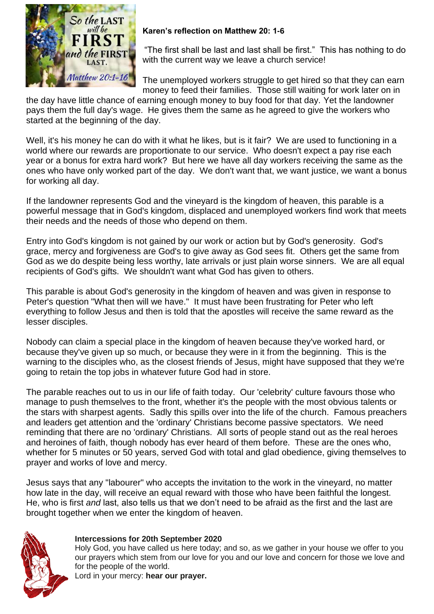

## **Karen's reflection on Matthew 20: 1-6**

"The first shall be last and last shall be first." This has nothing to do with the current way we leave a church service!

The unemployed workers struggle to get hired so that they can earn money to feed their families. Those still waiting for work later on in

the day have little chance of earning enough money to buy food for that day. Yet the landowner pays them the full day's wage. He gives them the same as he agreed to give the workers who started at the beginning of the day.

Well, it's his money he can do with it what he likes, but is it fair? We are used to functioning in a world where our rewards are proportionate to our service. Who doesn't expect a pay rise each year or a bonus for extra hard work? But here we have all day workers receiving the same as the ones who have only worked part of the day. We don't want that, we want justice, we want a bonus for working all day.

If the landowner represents God and the vineyard is the kingdom of heaven, this parable is a powerful message that in God's kingdom, displaced and unemployed workers find work that meets their needs and the needs of those who depend on them.

Entry into God's kingdom is not gained by our work or action but by God's generosity. God's grace, mercy and forgiveness are God's to give away as God sees fit. Others get the same from God as we do despite being less worthy, late arrivals or just plain worse sinners. We are all equal recipients of God's gifts. We shouldn't want what God has given to others.

This parable is about God's generosity in the kingdom of heaven and was given in response to Peter's question "What then will we have." It must have been frustrating for Peter who left everything to follow Jesus and then is told that the apostles will receive the same reward as the lesser disciples.

Nobody can claim a special place in the kingdom of heaven because they've worked hard, or because they've given up so much, or because they were in it from the beginning. This is the warning to the disciples who, as the closest friends of Jesus, might have supposed that they we're going to retain the top jobs in whatever future God had in store.

The parable reaches out to us in our life of faith today. Our 'celebrity' culture favours those who manage to push themselves to the front, whether it's the people with the most obvious talents or the stars with sharpest agents. Sadly this spills over into the life of the church. Famous preachers and leaders get attention and the 'ordinary' Christians become passive spectators. We need reminding that there are no 'ordinary' Christians. All sorts of people stand out as the real heroes and heroines of faith, though nobody has ever heard of them before. These are the ones who, whether for 5 minutes or 50 years, served God with total and glad obedience, giving themselves to prayer and works of love and mercy.

Jesus says that any "labourer" who accepts the invitation to the work in the vineyard, no matter how late in the day, will receive an equal reward with those who have been faithful the longest. He, who is first *and* last, also tells us that we don't need to be afraid as the first and the last are brought together when we enter the kingdom of heaven.



### **Intercessions for 20th September 2020**

Holy God, you have called us here today; and so, as we gather in your house we offer to you our prayers which stem from our love for you and our love and concern for those we love and for the people of the world.

Lord in your mercy: **hear our prayer.**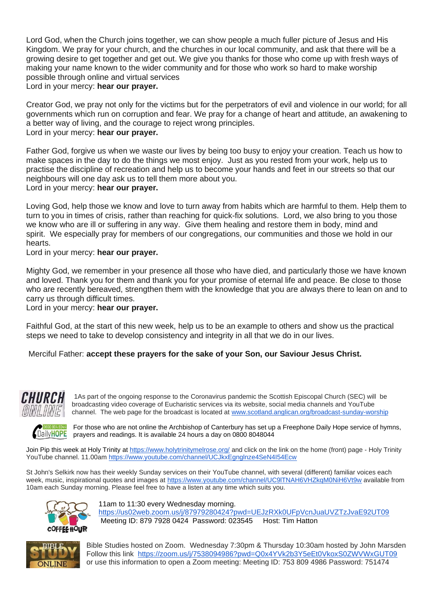Lord God, when the Church joins together, we can show people a much fuller picture of Jesus and His Kingdom. We pray for your church, and the churches in our local community, and ask that there will be a growing desire to get together and get out. We give you thanks for those who come up with fresh ways of making your name known to the wider community and for those who work so hard to make worship possible through online and virtual services Lord in your mercy: **hear our prayer.**

Creator God, we pray not only for the victims but for the perpetrators of evil and violence in our world; for all governments which run on corruption and fear. We pray for a change of heart and attitude, an awakening to a better way of living, and the courage to reject wrong principles. Lord in your mercy: **hear our prayer.**

Father God, forgive us when we waste our lives by being too busy to enjoy your creation. Teach us how to make spaces in the day to do the things we most enjoy. Just as you rested from your work, help us to practise the discipline of recreation and help us to become your hands and feet in our streets so that our neighbours will one day ask us to tell them more about you. Lord in your mercy: **hear our prayer.**

Loving God, help those we know and love to turn away from habits which are harmful to them. Help them to turn to you in times of crisis, rather than reaching for quick-fix solutions. Lord, we also bring to you those we know who are ill or suffering in any way. Give them healing and restore them in body, mind and spirit. We especially pray for members of our congregations, our communities and those we hold in our hearts.

Lord in your mercy: **hear our prayer.**

Mighty God, we remember in your presence all those who have died, and particularly those we have known and loved. Thank you for them and thank you for your promise of eternal life and peace. Be close to those who are recently bereaved, strengthen them with the knowledge that you are always there to lean on and to carry us through difficult times.

Lord in your mercy: **hear our prayer.**

Faithful God, at the start of this new week, help us to be an example to others and show us the practical steps we need to take to develop consistency and integrity in all that we do in our lives.

Merciful Father: **accept these prayers for the sake of your Son, our Saviour Jesus Christ.**



1As part of the ongoing response to the Coronavirus pandemic the Scottish Episcopal Church (SEC) will be broadcasting video coverage of Eucharistic services via its website, social media channels and YouTube channel. The web page for the broadcast is located at [www.scotland.anglican.org/broadcast-sunday-worship](http://www.scotland.anglican.org/broadcast-sunday-worship)



For those who are not online the Archbishop of Canterbury has set up a Freephone Daily Hope service of hymns, DailyHOPE prayers and readings. It is available 24 hours a day on 0800 8048044

Join Pip this week at Holy Trinity at<https://www.holytrinitymelrose.org/> and click on the link on the home (front) page - Holy Trinity YouTube channel. 11.00am https://www.youtube.com/channel/UCJkxEgnglnze4SeN4I54Ecw

St John's Selkirk now has their weekly Sunday services on their YouTube channel, with several (different) familiar voices each week, music, inspirational quotes and images at <https://www.youtube.com/channel/UC9lTNAH6VHZkqM0NiH6Vt9w> available from 10am each Sunday morning. Please feel free to have a listen at any time which suits you.



11am to 11:30 every Wednesday morning. <https://us02web.zoom.us/j/87979280424?pwd=UEJzRXk0UFpVcnJuaUVZTzJvaE92UT09> Meeting ID: 879 7928 0424 Password: 023545 Host: Tim Hatton



Bible Studies hosted on Zoom. Wednesday 7:30pm & Thursday 10:30am hosted by John Marsden Follow this link <https://zoom.us/j/7538094986?pwd=Q0x4YVk2b3Y5eEt0VkoxS0ZWVWxGUT09> or use this information to open a Zoom meeting: Meeting ID: 753 809 4986 Password: 751474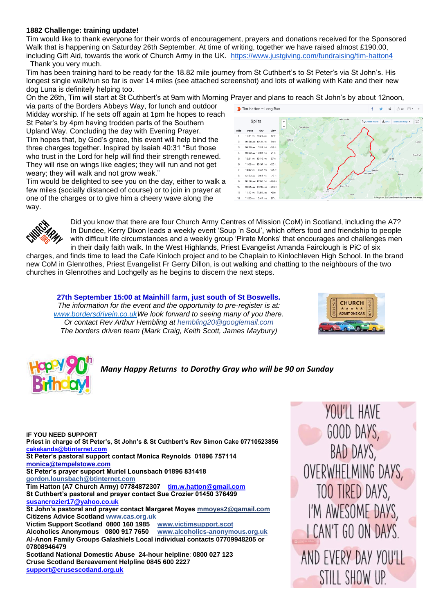#### **1882 Challenge: training update!**

Tim would like to thank everyone for their words of encouragement, prayers and donations received for the Sponsored Walk that is happening on Saturday 26th September. At time of writing, together we have raised almost £190.00, including Gift Aid, towards the work of Church Army in the UK. <https://www.justgiving.com/fundraising/tim-hatton4> Thank you very much.

Tim has been training hard to be ready for the 18.82 mile journey from St Cuthbert's to St Peter's via St John's. His longest single walk/run so far is over 14 miles (see attached screenshot) and lots of walking with Kate and their new dog Luna is definitely helping too.

On the 26th, Tim will start at St Cuthbert's at 9am with Morning Prayer and plans to reach St John's by about 12noon,

via parts of the Borders Abbeys Way, for lunch and outdoor Midday worship. If he sets off again at 1pm he hopes to reach St Peter's by 4pm having trodden parts of the Southern Upland Way. Concluding the day with Evening Prayer. Tim hopes that, by God's grace, this event will help bind the three charges together. Inspired by Isaiah 40:31 "But those who trust in the Lord for help will find their strength renewed. They will rise on wings like eagles; they will run and not get weary; they will walk and not grow weak."

Tim would be delighted to see you on the day, either to walk a few miles (socially distanced of course) or to join in prayer at one of the charges or to give him a cheery wave along the way.





Did you know that there are four Church Army Centres of Mission (CoM) in Scotland, including the A7? In Dundee, Kerry Dixon leads a weekly event 'Soup 'n Soul', which offers food and friendship to people with difficult life circumstances and a weekly group 'Pirate Monks' that encourages and challenges men in their daily faith walk. In the West Highlands, Priest Evangelist Amanda Fairclough is PiC of six

charges, and finds time to lead the Cafe Kinloch project and to be Chaplain to Kinlochleven High School. In the brand new CoM in Glenrothes, Priest Evangelist Fr Gerry Dillon, is out walking and chatting to the neighbours of the two churches in Glenrothes and Lochgelly as he begins to discern the next steps.

**27th September 15:00 at Mainhill farm, just south of St Boswells.** *The information for the event and the opportunity to pre-register is at: [www.bordersdrivein.co.ukW](http://www.bordersdrivein.co.uk/)e look forward to seeing many of you there. Or contact Rev Arthur Hembling at hembling20@googlemail.com The borders driven team (Mark Craig, Keith Scott, James Maybury)*





*Many Happy Returns to Dorothy Gray who will be 90 on Sunday*

**IF YOU NEED SUPPORT Priest in charge of St Peter's, St John's & St Cuthbert's Rev Simon Cake 07710523856 [cakekands@btinternet.com](mailto:cakekands@btinternet.com) St Peter's pastoral support contact Monica Reynolds 01896 757114 [monica@tempelstowe.com](mailto:monica@tempelstowe.com) St Peter's prayer support Muriel Lounsbach 01896 831418 gordon.lounsbach@btinternet.com Tim Hatton (A7 Church Army) 07784872307 [tim.w.hatton@gmail.com](mailto:tim.w.hutton@gmail.com) St Cuthbert's pastoral and prayer contact Sue Crozier 01450 376499 [susancrozier17@yahoo.co.uk](mailto:susancrozier17@yahoo.co.uk) St John's pastoral and prayer contact Margaret Moyes mmoyes2@gamail.com Citizens Advice Scotlan[d www.cas.org.uk](http://www.cas.org.uk/)  Victim Support Scotland 0800 160 1985 Alcoholics Anonymous 0800 917 7650 [www.alcoholics-anonymous.org.uk](http://www.alcoholics-anonymous.org.uk/) Al-Anon Family Groups Galashiels Local individual contacts 07709948205 or 07808946479 Scotland National Domestic Abuse 24-hour helpline**: **0800 027 123 Cruse Scotland Bereavement Helpline 0845 600 2227 [support@crusescotland.org.uk](mailto:support@crusescotland.org.uk)**

YOU'LL HAVE GOOD DAYS, BAD DAYS, OVERWHELMING DAYS, TOO TIRED DAYS, I'M AWESOME DAYS, **LCAN'T GO ON DAYS** AND EVERY DAY YOU'LL STILL SHOW UP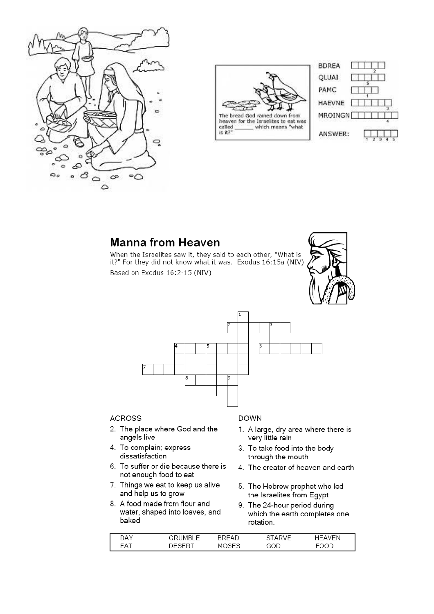



heaven for the Israelites to eat was called which means "what is it?'



# **Manna from Heaven**

When the Israelites saw it, they said to each other, "What is it?" For they did not know what it was. Exodus 16:15a (NIV) Based on Exodus 16:2-15 (NIV)





### **ACROSS**

- 2. The place where God and the angels live
- 4. To complain; express dissatisfaction
- 6. To suffer or die because there is not enough food to eat
- 7. Things we eat to keep us alive and help us to grow
- 8. A food made from flour and water, shaped into loaves, and baked

#### **DOWN**

- 1. A large, dry area where there is very little rain
- 3. To take food into the body through the mouth
- 4. The creator of heaven and earth
- 5. The Hebrew prophet who led the Israelites from Eqypt
- 9. The 24-hour period during which the earth completes one rotation.

| DAY        | GRUMBLE | <b>BREAD</b> | STARVF | /FN<br>⊣⊢ дъ |
|------------|---------|--------------|--------|--------------|
| <b>FAT</b> |         | <b>MOSES</b> | GOD    |              |